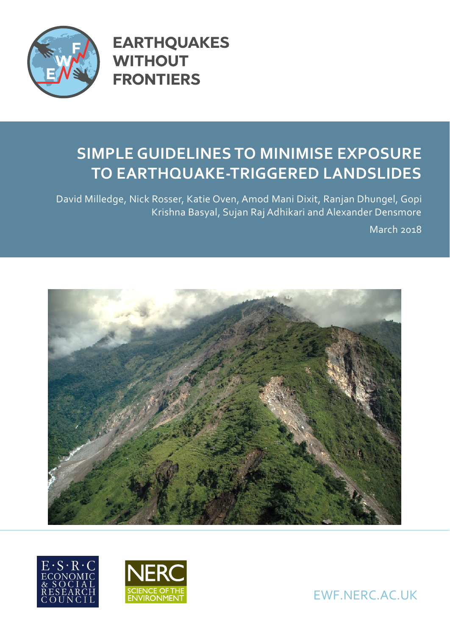

**EARTHQUAKES WITHOUT FRONTIERS** 

# **SIMPLE GUIDELINES TO MINIMISE EXPOSURE TO EARTHQUAKE-TRIGGERED LANDSLIDES**

David Milledge, Nick Rosser, Katie Oven, Amod Mani Dixit, Ranjan Dhungel, Gopi Krishna Basyal, Sujan Raj Adhikari and Alexander Densmore

March 2018







EWF.NERC.AC.UK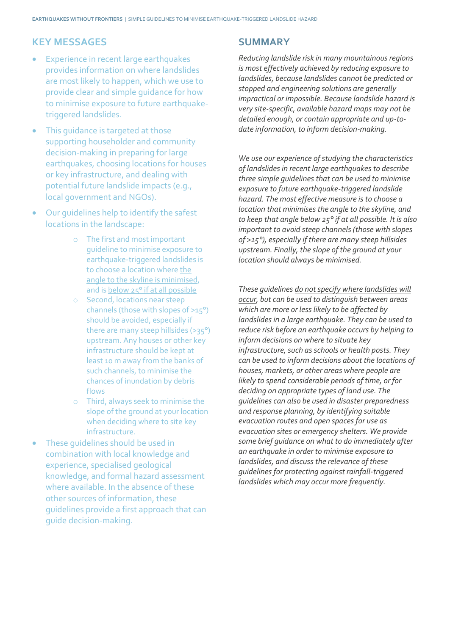#### **KEY MESSAGES**

- Experience in recent large earthquakes provides information on where landslides are most likely to happen, which we use to provide clear and simple guidance for how to minimise exposure to future earthquaketriggered landslides.
- This quidance is targeted at those supporting householder and community decision-making in preparing for large earthquakes, choosing locations for houses or key infrastructure, and dealing with potential future landslide impacts (e.g., local government and NGOs).
- Our guidelines help to identify the safest locations in the landscape:
	- o The first and most important guideline to minimise exposure to earthquake-triggered landslides is to choose a location where the angle to the skyline is minimised, and is below 25° if at all possible
	- o Second, locations near steep channels (those with slopes of >15°) should be avoided, especially if there are many steep hillsides (>35°) upstream. Any houses or other key infrastructure should be kept at least 10 m away from the banks of such channels, to minimise the chances of inundation by debris flows
	- o Third, always seek to minimise the slope of the ground at your location when deciding where to site key infrastructure.
- These quidelines should be used in combination with local knowledge and experience, specialised geological knowledge, and formal hazard assessment where available. In the absence of these other sources of information, these guidelines provide a first approach that can guide decision-making.

### **SUMMARY**

*Reducing landslide risk in many mountainous regions is most effectively achieved by reducing exposure to landslides, because landslides cannot be predicted or stopped and engineering solutions are generally impractical or impossible. Because landslide hazard is very site-specific, available hazard maps may not be detailed enough, or contain appropriate and up-todate information, to inform decision-making.* 

*We use our experience of studying the characteristics of landslides in recent large earthquakes to describe three simple guidelines that can be used to minimise exposure to future earthquake-triggered landslide hazard. The most effective measure is to choose a location that minimises the angle to the skyline, and to keep that angle below 25° if at all possible. It is also important to avoid steep channels (those with slopes of >15°), especially if there are many steep hillsides upstream. Finally, the slope of the ground at your location should always be minimised.*

*These guidelines do not specify where landslides will occur, but can be used to distinguish between areas which are more or less likely to be affected by landslides in a large earthquake. They can be used to reduce risk before an earthquake occurs by helping to inform decisions on where to situate key infrastructure, such as schools or health posts. They can be used to inform decisions about the locations of houses, markets, or other areas where people are likely to spend considerable periods of time, or for deciding on appropriate types of land use. The guidelines can also be used in disaster preparedness and response planning, by identifying suitable evacuation routes and open spaces for use as evacuation sites or emergency shelters. We provide some brief guidance on what to do immediately after an earthquake in order to minimise exposure to landslides, and discuss the relevance of these guidelines for protecting against rainfall-triggered landslides which may occur more frequently.*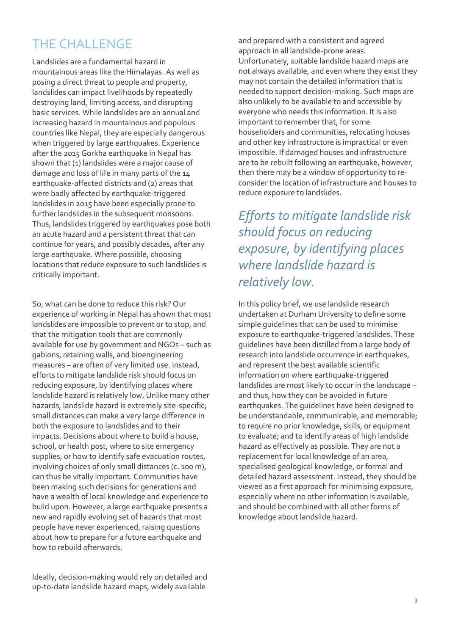# THE CHALLENGE

Landslides are a fundamental hazard in mountainous areas like the Himalayas. As well as posing a direct threat to people and property, landslides can impact livelihoods by repeatedly destroying land, limiting access, and disrupting basic services. While landslides are an annual and increasing hazard in mountainous and populous countries like Nepal, they are especially dangerous when triggered by large earthquakes. Experience after the 2015 Gorkha earthquake in Nepal has shown that (1) landslides were a major cause of damage and loss of life in many parts of the 14 earthquake-affected districts and (2) areas that were badly affected by earthquake-triggered landslides in 2015 have been especially prone to further landslides in the subsequent monsoons. Thus, landslides triggered by earthquakes pose both an acute hazard and a persistent threat that can continue for years, and possibly decades, after any large earthquake. Where possible, choosing locations that reduce exposure to such landslides is critically important.

So, what can be done to reduce this risk? Our experience of working in Nepal has shown that most landslides are impossible to prevent or to stop, and that the mitigation tools that are commonly available for use by government and NGOs – such as gabions, retaining walls, and bioengineering measures – are often of very limited use. Instead, efforts to mitigate landslide risk should focus on reducing exposure, by identifying places where landslide hazard is relatively low. Unlike many other hazards, landslide hazard is extremely site-specific; small distances can make a very large difference in both the exposure to landslides and to their impacts. Decisions about where to build a house, school, or health post, where to site emergency supplies, or how to identify safe evacuation routes, involving choices of only small distances (c. 100 m), can thus be vitally important. Communities have been making such decisions for generations and have a wealth of local knowledge and experience to build upon. However, a large earthquake presents a new and rapidly evolving set of hazards that most people have never experienced, raising questions about how to prepare for a future earthquake and how to rebuild afterwards.

Ideally, decision-making would rely on detailed and up-to-date landslide hazard maps, widely available

and prepared with a consistent and agreed approach in all landslide-prone areas. Unfortunately, suitable landslide hazard maps are not always available, and even where they exist they may not contain the detailed information that is needed to support decision-making. Such maps are also unlikely to be available to and accessible by everyone who needs this information. It is also important to remember that, for some householders and communities, relocating houses and other key infrastructure is impractical or even impossible. If damaged houses and infrastructure are to be rebuilt following an earthquake, however, then there may be a window of opportunity to reconsider the location of infrastructure and houses to reduce exposure to landslides.

*Efforts to mitigate landslide risk should focus on reducing exposure, by identifying places where landslide hazard is relatively low.*

In this policy brief, we use landslide research undertaken at Durham University to define some simple guidelines that can be used to minimise exposure to earthquake-triggered landslides. These guidelines have been distilled from a large body of research into landslide occurrence in earthquakes, and represent the best available scientific information on where earthquake-triggered landslides are most likely to occur in the landscape – and thus, how they can be avoided in future earthquakes. The guidelines have been designed to be understandable, communicable, and memorable; to require no prior knowledge, skills, or equipment to evaluate; and to identify areas of high landslide hazard as effectively as possible. They are not a replacement for local knowledge of an area, specialised geological knowledge, or formal and detailed hazard assessment. Instead, they should be viewed as a first approach for minimising exposure, especially where no other information is available, and should be combined with all other forms of knowledge about landslide hazard.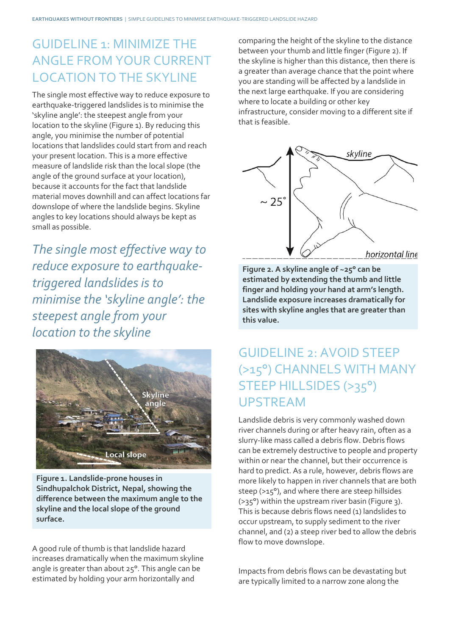## GUIDELINE 1: MINIMIZE THE ANGLE FROM YOUR CURRENT LOCATION TO THE SKYLINE

The single most effective way to reduce exposure to earthquake-triggered landslides is to minimise the 'skyline angle': the steepest angle from your location to the skyline (Figure 1). By reducing this angle, you minimise the number of potential locations that landslides could start from and reach your present location. This is a more effective measure of landslide risk than the local slope (the angle of the ground surface at your location), because it accounts for the fact that landslide material moves downhill and can affect locations far downslope of where the landslide begins. Skyline angles to key locations should always be kept as small as possible.

*The single most effective way to reduce exposure to earthquaketriggered landslides is to minimise the 'skyline angle': the steepest angle from your location to the skyline*



**Figure 1. Landslide-prone houses in Sindhupalchok District, Nepal, showing the difference between the maximum angle to the skyline and the local slope of the ground surface.**

A good rule of thumb is that landslide hazard increases dramatically when the maximum skyline angle is greater than about 25°. This angle can be estimated by holding your arm horizontally and

comparing the height of the skyline to the distance between your thumb and little finger (Figure 2). If the skyline is higher than this distance, then there is a greater than average chance that the point where you are standing will be affected by a landslide in the next large earthquake. If you are considering where to locate a building or other key infrastructure, consider moving to a different site if that is feasible.



**Figure 2. A skyline angle of ~25° can be estimated by extending the thumb and little finger and holding your hand at arm's length. Landslide exposure increases dramatically for sites with skyline angles that are greater than this value.**

### GUIDELINE 2: AVOID STEEP (>15°) CHANNELS WITH MANY STEEP HILLSIDES (>35°) UPSTREAM

Landslide debris is very commonly washed down river channels during or after heavy rain, often as a slurry-like mass called a debris flow. Debris flows can be extremely destructive to people and property within or near the channel, but their occurrence is hard to predict. As a rule, however, debris flows are more likely to happen in river channels that are both steep (>15°), and where there are steep hillsides (>35°) within the upstream river basin (Figure 3). This is because debris flows need (1) landslides to occur upstream, to supply sediment to the river channel, and (2) a steep river bed to allow the debris flow to move downslope.

Impacts from debris flows can be devastating but are typically limited to a narrow zone along the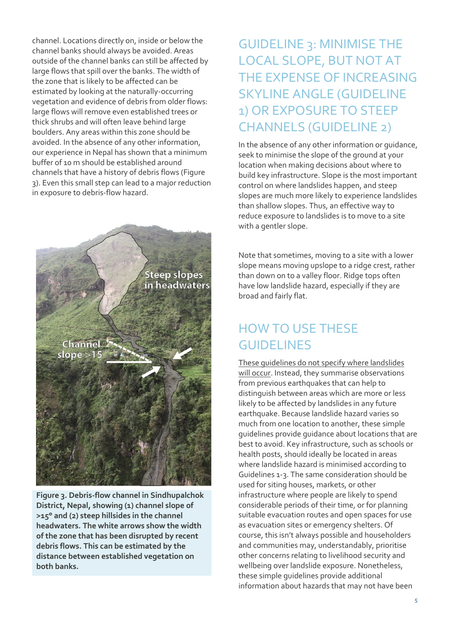channel. Locations directly on, inside or below the channel banks should always be avoided. Areas outside of the channel banks can still be affected by large flows that spill over the banks. The width of the zone that is likely to be affected can be estimated by looking at the naturally-occurring vegetation and evidence of debris from older flows: large flows will remove even established trees or thick shrubs and will often leave behind large boulders. Any areas within this zone should be avoided. In the absence of any other information, our experience in Nepal has shown that a minimum buffer of 10 m should be established around channels that have a history of debris flows (Figure 3). Even this small step can lead to a major reduction in exposure to debris-flow hazard.



**Figure 3. Debris-flow channel in Sindhupalchok District, Nepal, showing (1) channel slope of >15° and (2) steep hillsides in the channel headwaters. The white arrows show the width of the zone that has been disrupted by recent debris flows. This can be estimated by the distance between established vegetation on both banks.**

# GUIDELINE 3: MINIMISE THE LOCAL SLOPE, BUT NOT AT THE EXPENSE OF INCREASING SKYLINE ANGLE (GUIDELINE 1) OR EXPOSURE TO STEEP CHANNELS (GUIDELINE 2)

In the absence of any other information or guidance, seek to minimise the slope of the ground at your location when making decisions about where to build key infrastructure. Slope is the most important control on where landslides happen, and steep slopes are much more likely to experience landslides than shallow slopes. Thus, an effective way to reduce exposure to landslides is to move to a site with a gentler slope.

Note that sometimes, moving to a site with a lower slope means moving upslope to a ridge crest, rather than down on to a valley floor. Ridge tops often have low landslide hazard, especially if they are broad and fairly flat.

# HOW TO USE THESE GUIDELINES

These guidelines do not specify where landslides will occur. Instead, they summarise observations from previous earthquakes that can help to distinguish between areas which are more or less likely to be affected by landslides in any future earthquake. Because landslide hazard varies so much from one location to another, these simple guidelines provide guidance about locations that are best to avoid. Key infrastructure, such as schools or health posts, should ideally be located in areas where landslide hazard is minimised according to Guidelines 1-3. The same consideration should be used for siting houses, markets, or other infrastructure where people are likely to spend considerable periods of their time, or for planning suitable evacuation routes and open spaces for use as evacuation sites or emergency shelters. Of course, this isn't always possible and householders and communities may, understandably, prioritise other concerns relating to livelihood security and wellbeing over landslide exposure. Nonetheless, these simple guidelines provide additional information about hazards that may not have been